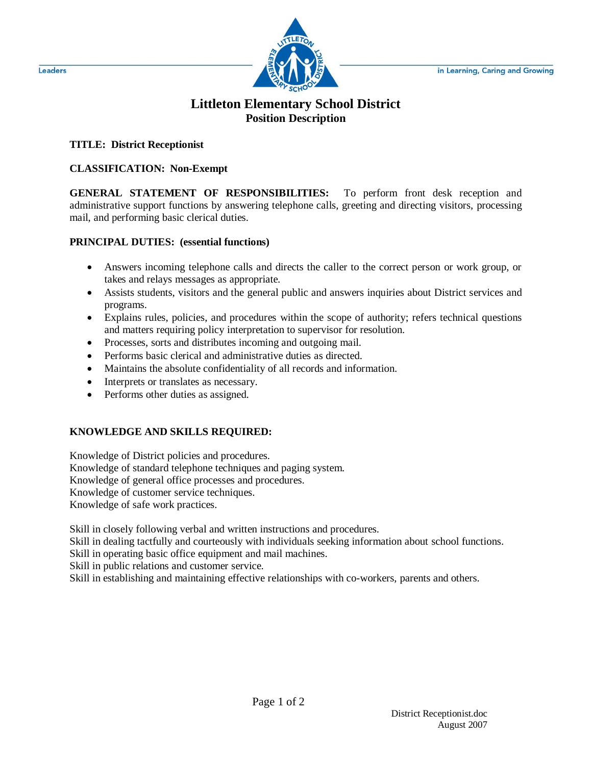

# **Littleton Elementary School District Position Description**

# **TITLE: District Receptionist**

### **CLASSIFICATION: Non-Exempt**

**GENERAL STATEMENT OF RESPONSIBILITIES:** To perform front desk reception and administrative support functions by answering telephone calls, greeting and directing visitors, processing mail, and performing basic clerical duties.

### **PRINCIPAL DUTIES: (essential functions)**

- Answers incoming telephone calls and directs the caller to the correct person or work group, or takes and relays messages as appropriate.
- Assists students, visitors and the general public and answers inquiries about District services and programs.
- Explains rules, policies, and procedures within the scope of authority; refers technical questions and matters requiring policy interpretation to supervisor for resolution.
- Processes, sorts and distributes incoming and outgoing mail.
- Performs basic clerical and administrative duties as directed.
- Maintains the absolute confidentiality of all records and information.
- Interprets or translates as necessary.
- Performs other duties as assigned.

# **KNOWLEDGE AND SKILLS REQUIRED:**

Knowledge of District policies and procedures. Knowledge of standard telephone techniques and paging system. Knowledge of general office processes and procedures. Knowledge of customer service techniques. Knowledge of safe work practices.

Skill in closely following verbal and written instructions and procedures.

Skill in dealing tactfully and courteously with individuals seeking information about school functions.

Skill in operating basic office equipment and mail machines.

Skill in public relations and customer service.

Skill in establishing and maintaining effective relationships with co-workers, parents and others.

Leaders